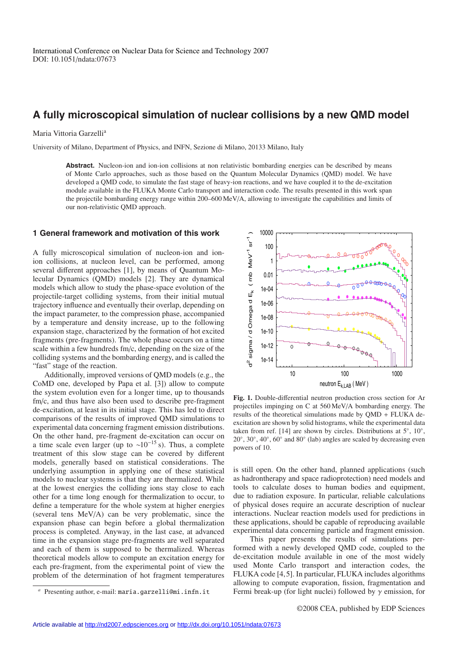# **A fully microscopical simulation of nuclear collisions by a new QMD model**

## Maria Vittoria Garzelli<sup>a</sup>

University of Milano, Department of Physics, and INFN, Sezione di Milano, 20133 Milano, Italy

Abstract. Nucleon-ion and ion-ion collisions at non relativistic bombarding energies can be described by means of Monte Carlo approaches, such as those based on the Quantum Molecular Dynamics (QMD) model. We have developed a QMD code, to simulate the fast stage of heavy-ion reactions, and we have coupled it to the de-excitation module available in the FLUKA Monte Carlo transport and interaction code. The results presented in this work span the projectile bombarding energy range within 200–600 MeV/A, allowing to investigate the capabilities and limits of our non-relativistic QMD approach.

## **1 General framework and motivation of this work**

A fully microscopical simulation of nucleon-ion and ionion collisions, at nucleon level, can be performed, among several different approaches [1], by means of Quantum Molecular Dynamics (QMD) models [2]. They are dynamical models which allow to study the phase-space evolution of the projectile-target colliding systems, from their initial mutual trajectory influence and eventually their overlap, depending on the impact parameter, to the compression phase, accompanied by a temperature and density increase, up to the following expansion stage, characterized by the formation of hot excited fragments (pre-fragments). The whole phase occurs on a time scale within a few hundreds fm/c, depending on the size of the colliding systems and the bombarding energy, and is called the "fast" stage of the reaction.

Additionally, improved versions of QMD models (e.g., the CoMD one, developed by Papa et al. [3]) allow to compute the system evolution even for a longer time, up to thousands fm/c, and thus have also been used to describe pre-fragment de-excitation, at least in its initial stage. This has led to direct comparisons of the results of improved QMD simulations to experimental data concerning fragment emission distributions. On the other hand, pre-fragment de-excitation can occur on a time scale even larger (up to ~10<sup>-15</sup> s). Thus, a complete treatment of this slow stage can be covered by different models, generally based on statistical considerations. The underlying assumption in applying one of these statistical models to nuclear systems is that they are thermalized. While at the lowest energies the colliding ions stay close to each other for a time long enough for thermalization to occur, to define a temperature for the whole system at higher energies (several tens MeV/A) can be very problematic, since the expansion phase can begin before a global thermalization process is completed. Anyway, in the last case, at advanced time in the expansion stage pre-fragments are well separated and each of them is supposed to be thermalized. Whereas theoretical models allow to compute an excitation energy for each pre-fragment, from the experimental point of view the problem of the determination of hot fragment temperatures



**Fig. 1.** Double-differential neutron production cross section for Ar projectiles impinging on C at 560 MeV/A bombarding energy. The results of the theoretical simulations made by QMD + FLUKA deexcitation are shown by solid histograms, while the experimental data taken from ref. [14] are shown by circles. Distributions at  $5^\circ$ ,  $10^\circ$ ,  $20^\circ$ ,  $30^\circ$ ,  $40^\circ$ ,  $60^\circ$  and  $80^\circ$  (lab) angles are scaled by decreasing even powers of 10.

is still open. On the other hand, planned applications (such as hadrontherapy and space radioprotection) need models and tools to calculate doses to human bodies and equipment, due to radiation exposure. In particular, reliable calculations of physical doses require an accurate description of nuclear interactions. Nuclear reaction models used for predictions in these applications, should be capable of reproducing available experimental data concerning particle and fragment emission.

This paper presents the results of simulations performed with a newly developed QMD code, coupled to the de-excitation module available in one of the most widely used Monte Carlo transport and interaction codes, the FLUKA code [4,5]. In particular, FLUKA includes algorithms allowing to compute evaporation, fission, fragmentation and Fermi break-up (for light nuclei) followed by  $\gamma$  emission, for

*<sup>a</sup>* Presenting author, e-mail: maria.garzelli@mi.infn.it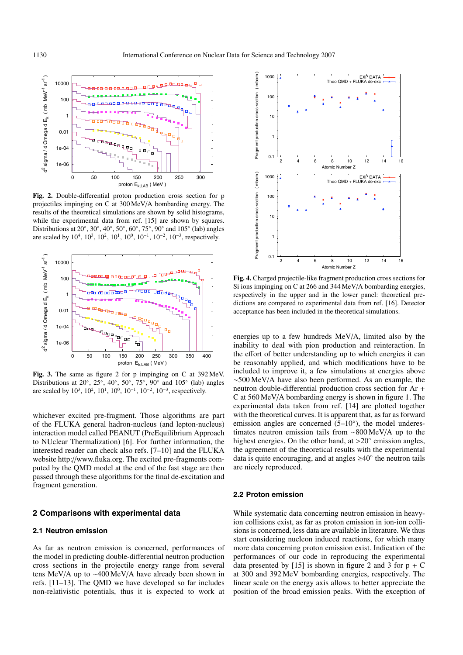

**Fig. 2.** Double-differential proton production cross section for p projectiles impinging on C at 300 MeV/A bombarding energy. The results of the theoretical simulations are shown by solid histograms, while the experimental data from ref. [15] are shown by squares. Distributions at  $20^\circ$ ,  $30^\circ$ ,  $40^\circ$ ,  $50^\circ$ ,  $60^\circ$ ,  $75^\circ$ ,  $90^\circ$  and  $105^\circ$  (lab) angles are scaled by 10<sup>4</sup>, 10<sup>3</sup>, 10<sup>2</sup>, 10<sup>1</sup>, 10<sup>0</sup>, 10<sup>-1</sup>, 10<sup>-2</sup>, 10<sup>-3</sup>, respectively.



**Fig. 3.** The same as figure 2 for p impinging on C at 392 MeV. Distributions at 20 $\degree$ , 25 $\degree$ , 40 $\degree$ , 50 $\degree$ , 75 $\degree$ , 90 $\degree$  and 105 $\degree$  (lab) angles are scaled by  $10^3$ ,  $10^2$ ,  $10^1$ ,  $10^0$ ,  $10^{-1}$ ,  $10^{-2}$ ,  $10^{-3}$ , respectively.

whichever excited pre-fragment. Those algorithms are part of the FLUKA general hadron-nucleus (and lepton-nucleus) interaction model called PEANUT (PreEquilibrium Approach to NUclear Thermalization) [6]. For further information, the interested reader can check also refs. [7–10] and the FLUKA website http://www.fluka.org. The excited pre-fragments computed by the QMD model at the end of the fast stage are then passed through these algorithms for the final de-excitation and fragment generation.

### **2 Comparisons with experimental data**

#### **2.1 Neutron emission**

As far as neutron emission is concerned, performances of the model in predicting double-differential neutron production cross sections in the projectile energy range from several tens MeV/A up to ∼400 MeV/A have already been shown in refs. [11–13]. The QMD we have developed so far includes non-relativistic potentials, thus it is expected to work at



**Fig. 4.** Charged projectile-like fragment production cross sections for Si ions impinging on C at 266 and 344 MeV/A bombarding energies, respectively in the upper and in the lower panel: theoretical predictions are compared to experimental data from ref. [16]. Detector acceptance has been included in the theoretical simulations.

energies up to a few hundreds MeV/A, limited also by the inability to deal with pion production and reinteraction. In the effort of better understanding up to which energies it can be reasonably applied, and which modifications have to be included to improve it, a few simulations at energies above ∼500 MeV/A have also been performed. As an example, the neutron double-differential production cross section for Ar + C at 560 MeV/A bombarding energy is shown in figure 1. The experimental data taken from ref. [14] are plotted together with the theoretical curves. It is apparent that, as far as forward emission angles are concerned  $(5-10°)$ , the model underestimates neutron emission tails from ∼800 MeV/A up to the highest energies. On the other hand, at  $>20^\circ$  emission angles, the agreement of the theoretical results with the experimental data is quite encouraging, and at angles  $\geq 40^\circ$  the neutron tails are nicely reproduced.

## **2.2 Proton emission**

While systematic data concerning neutron emission in heavyion collisions exist, as far as proton emission in ion-ion collisions is concerned, less data are available in literature. We thus start considering nucleon induced reactions, for which many more data concerning proton emission exist. Indication of the performances of our code in reproducing the experimental data presented by [15] is shown in figure 2 and 3 for  $p + C$ at 300 and 392 MeV bombarding energies, respectively. The linear scale on the energy axis allows to better appreciate the position of the broad emission peaks. With the exception of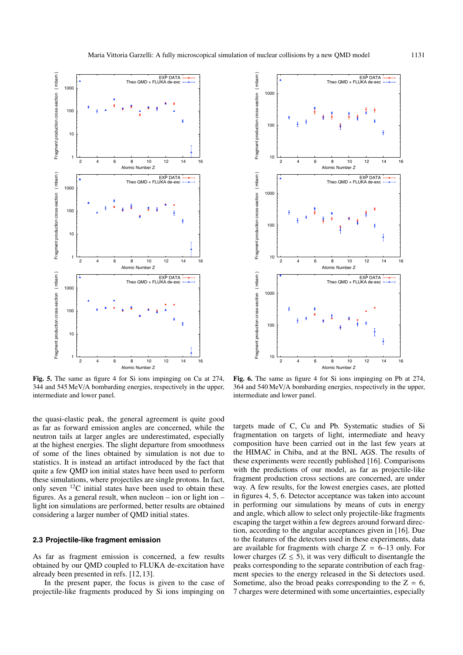

**Fig. 5.** The same as figure 4 for Si ions impinging on Cu at 274, 344 and 545 MeV/A bombarding energies, respectively in the upper, intermediate and lower panel.

the quasi-elastic peak, the general agreement is quite good as far as forward emission angles are concerned, while the neutron tails at larger angles are underestimated, especially at the highest energies. The slight departure from smoothness of some of the lines obtained by simulation is not due to statistics. It is instead an artifact introduced by the fact that quite a few QMD ion initial states have been used to perform these simulations, where projectiles are single protons. In fact, only seven  $^{12}$ C initial states have been used to obtain these figures. As a general result, when nucleon – ion or light ion – light ion simulations are performed, better results are obtained considering a larger number of QMD initial states.

## **2.3 Projectile-like fragment emission**

As far as fragment emission is concerned, a few results obtained by our QMD coupled to FLUKA de-excitation have already been presented in refs. [12,13].

In the present paper, the focus is given to the case of projectile-like fragments produced by Si ions impinging on



**Fig. 6.** The same as figure 4 for Si ions impinging on Pb at 274, 364 and 540 MeV/A bombarding energies, respectively in the upper, intermediate and lower panel.

targets made of C, Cu and Pb. Systematic studies of Si fragmentation on targets of light, intermediate and heavy composition have been carried out in the last few years at the HIMAC in Chiba, and at the BNL AGS. The results of these experiments were recently published [16]. Comparisons with the predictions of our model, as far as projectile-like fragment production cross sections are concerned, are under way. A few results, for the lowest energies cases, are plotted in figures 4, 5, 6. Detector acceptance was taken into account in performing our simulations by means of cuts in energy and angle, which allow to select only projectile-like fragments escaping the target within a few degrees around forward direction, according to the angular acceptances given in [16]. Due to the features of the detectors used in these experiments, data are available for fragments with charge  $Z = 6-13$  only. For lower charges ( $Z \le 5$ ), it was very difficult to disentangle the peaks corresponding to the separate contribution of each fragment species to the energy released in the Si detectors used. Sometime, also the broad peaks corresponding to the  $Z = 6$ , 7 charges were determined with some uncertainties, especially